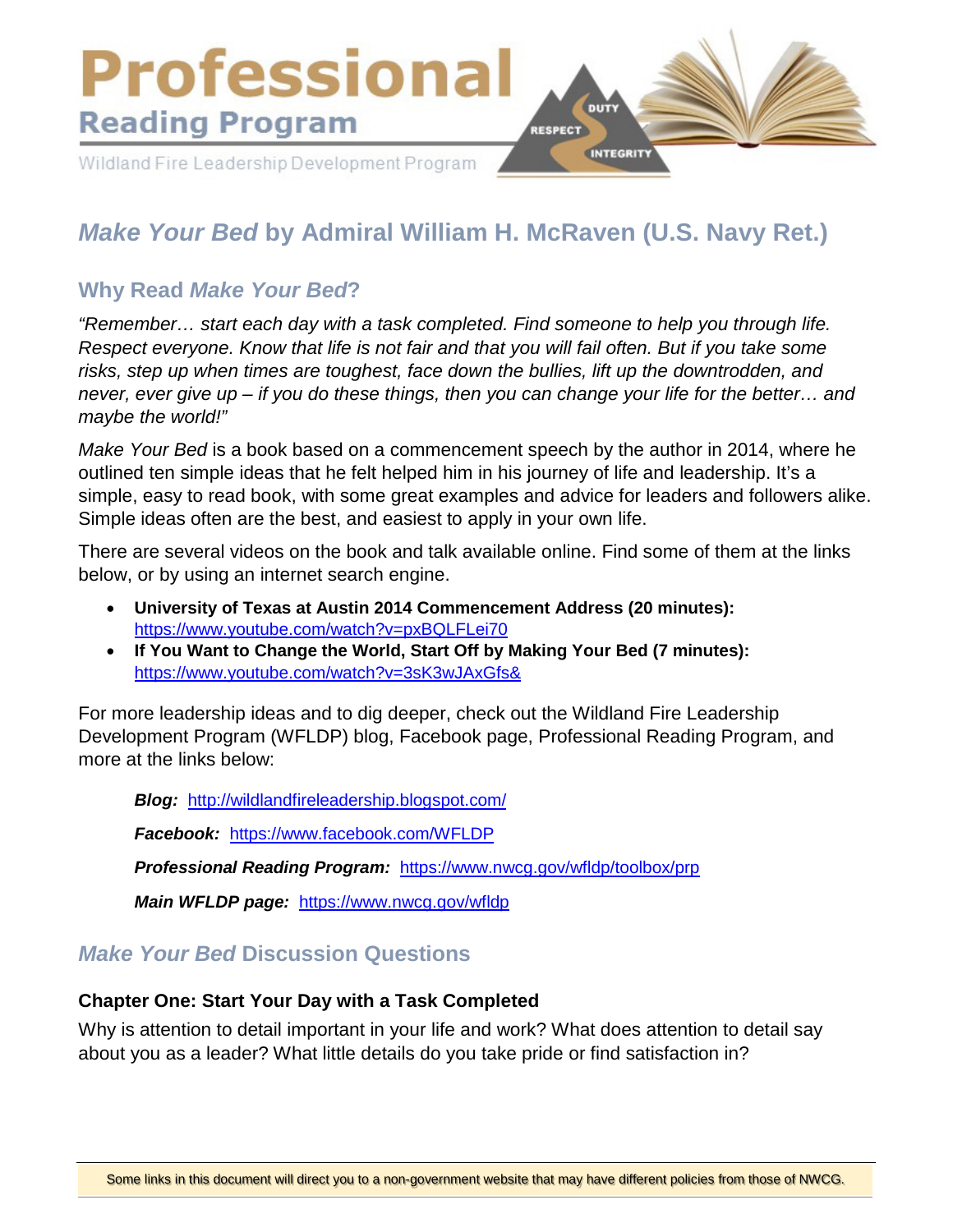

# *Make Your Bed* **by Admiral William H. McRaven (U.S. Navy Ret.)**

# **Why Read** *Make Your Bed***?**

*"Remember… start each day with a task completed. Find someone to help you through life. Respect everyone. Know that life is not fair and that you will fail often. But if you take some risks, step up when times are toughest, face down the bullies, lift up the downtrodden, and never, ever give up – if you do these things, then you can change your life for the better… and maybe the world!"*

*Make Your Bed* is a book based on a commencement speech by the author in 2014, where he outlined ten simple ideas that he felt helped him in his journey of life and leadership. It's a simple, easy to read book, with some great examples and advice for leaders and followers alike. Simple ideas often are the best, and easiest to apply in your own life.

There are several videos on the book and talk available online. Find some of them at the links below, or by using an internet search engine.

- **University of Texas at Austin 2014 Commencement Address (20 minutes):**  <https://www.youtube.com/watch?v=pxBQLFLei70>
- **If You Want to Change the World, Start Off by Making Your Bed (7 minutes):**  <https://www.youtube.com/watch?v=3sK3wJAxGfs&>

For more leadership ideas and to dig deeper, check out the Wildland Fire Leadership Development Program (WFLDP) blog, Facebook page, Professional Reading Program, and more at the links below:

*Blog:* <http://wildlandfireleadership.blogspot.com/>

*Facebook:* <https://www.facebook.com/WFLDP>

*Professional Reading Program:* <https://www.nwcg.gov/wfldp/toolbox/prp>

*Main WFLDP page:* <https://www.nwcg.gov/wfldp>

## *Make Your Bed* **Discussion Questions**

#### **Chapter One: Start Your Day with a Task Completed**

Why is attention to detail important in your life and work? What does attention to detail say about you as a leader? What little details do you take pride or find satisfaction in?